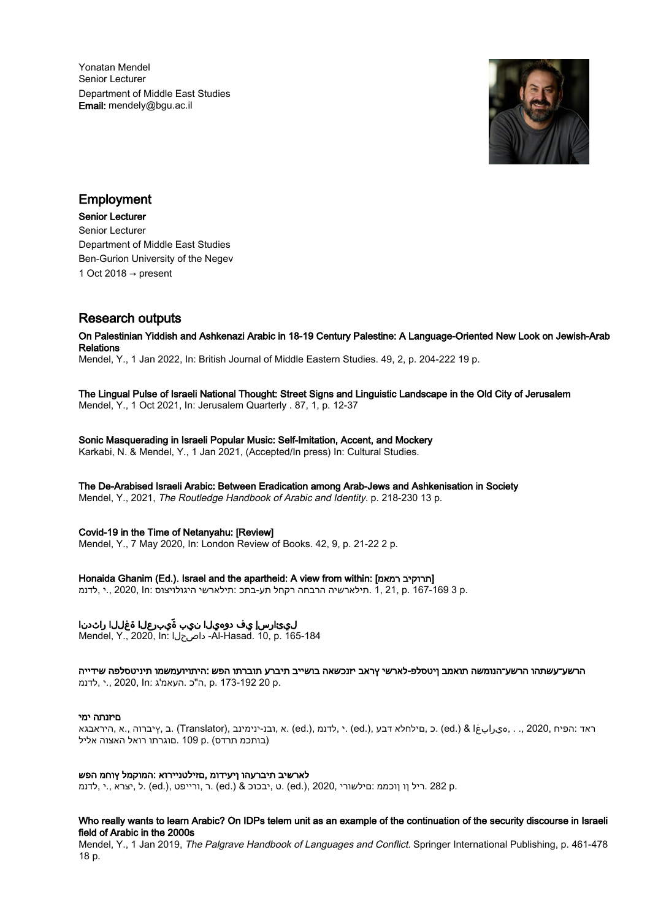Yonatan Mendel Senior Lecturer Department of Middle East Studies Email: mendely@bgu.ac.il



# Employment

Senior Lecturer Senior Lecturer Department of Middle East Studies Ben-Gurion University of the Negev 1 Oct 2018  $\rightarrow$  present

# Research outputs

On Palestinian Yiddish and Ashkenazi Arabic in 18-19 Century Palestine: A Language-Oriented New Look on Jewish-Arab Relations

Mendel, Y., 1 Jan 2022, In: British Journal of Middle Eastern Studies. 49, 2, p. 204-222 19 p.

### The Lingual Pulse of Israeli National Thought: Street Signs and Linguistic Landscape in the Old City of Jerusalem Mendel, Y., 1 Oct 2021, In: Jerusalem Quarterly . 87, 1, p. 12-37

Sonic Masquerading in Israeli Popular Music: Self-Imitation, Accent, and Mockery Karkabi, N. & Mendel, Y., 1 Jan 2021, (Accepted/In press) In: Cultural Studies.

The De-Arabised Israeli Arabic: Between Eradication among Arab-Jews and Ashkenisation in Society

Mendel, Y., 2021, The Routledge Handbook of Arabic and Identity. p. 218-230 13 p.

# Covid-19 in the Time of Netanyahu: [Review]

Mendel, Y., 7 May 2020, In: London Review of Books. 42, 9, p. 21-22 2 p.

Honaida Ghanim (Ed.). Israel and the apartheid: A view from within: [תרוקיב רמאמ]

.p 3 167-169 .p . תילארשיה הרבחה רקחל תע-בתכ :תילארשי היגולויצוס :n, 2020, In .י ,לדנמ.

# ليءارسإ يف دوهيلا نيب ةّيبرعلا ةغللاا راثدنا

Mendel, Y., 2020, In: داصحلا -Al-Hasad. 10, p. 165-184

הרשע־עשתהו הרשע־הנומשה תואמב ןיטסלפ-לארשי ץראב יזנכשאה בושייב תיברע תוברתו הפש :היתויועמשמו תיניטסלפה שידייה .p 20 173-192 .p ,ה"כ .העאמ'ג :In 2020, .,י ,לדנמ

# םיזנתה ימי

ראד :הפיח ,2020 ,. . ,هيرابغا & (.ed (.ed (.ed (.ed (.ed ) , לדנמ ,(.ed (.ad ) , הבנ-ינימינב ,(Translator ) .ב ,ץיברוה ,.א ,היראבגא (בותכמ תרדס) .p 109 .םוגרתו רואל האצוה אליל

# לארשיב תיברעהו ןיעידומ ,םזילטניירוא :המוקמל ץוחמ הפש

.p 282 .ריל ןו ןוכממ :םילשורי 2020, ,(.ed (.ט ,יבכוכ & (.ed (.ר ,ורייפט ,(.ed (.ל ,יצרא .,י ,לדנמ

# Who really wants to learn Arabic? On IDPs telem unit as an example of the continuation of the security discourse in Israeli field of Arabic in the 2000s

Mendel, Y., 1 Jan 2019, The Palgrave Handbook of Languages and Conflict. Springer International Publishing, p. 461-478 18 p.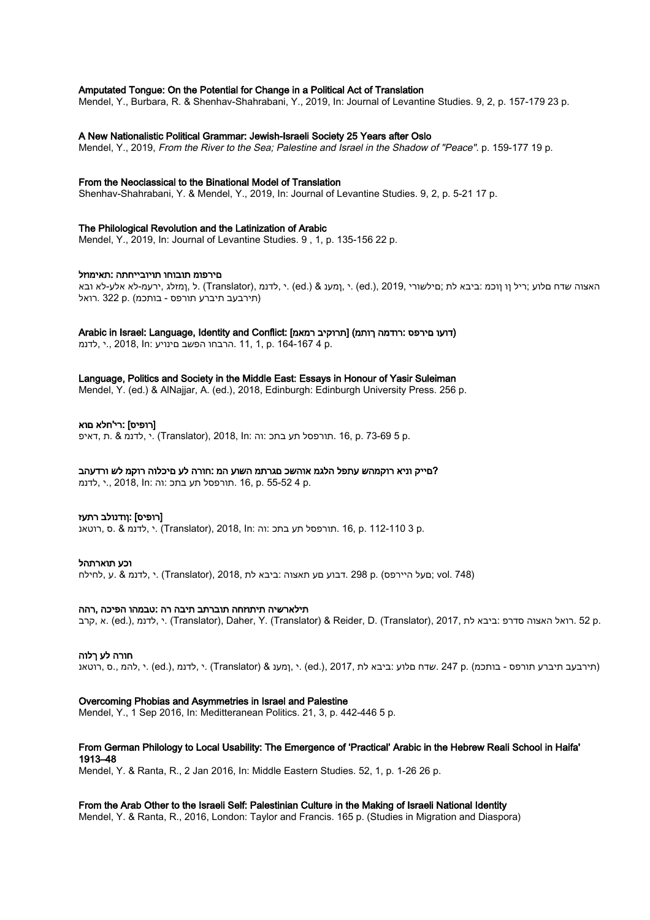### Amputated Tongue: On the Potential for Change in a Political Act of Translation

Mendel, Y., Burbara, R. & Shenhav-Shahrabani, Y., 2019, In: Journal of Levantine Studies. 9, 2, p. 157-179 23 p.

#### A New Nationalistic Political Grammar: Jewish-Israeli Society 25 Years after Oslo

Mendel, Y., 2019, From the River to the Sea; Palestine and Israel in the Shadow of "Peace". p. 159-177 19 p.

#### From the Neoclassical to the Binational Model of Translation

Shenhav-Shahrabani, Y. & Mendel, Y., 2019, In: Journal of Levantine Studies. 9, 2, p. 5-21 17 p.

### The Philological Revolution and the Latinization of Arabic

Mendel, Y., 2019, In: Journal of Levantine Studies. 9 , 1, p. 135-156 22 p.

# םירפומ תובוחו תויובייחתה :תאימוזל

ל, נהענ & (.ed (.or ; ,רומלג ,ירעמ-לא אלע-לא ובא לת ;םילשורי ,ed.) (ed (.) , 2019 (.י ,ומענ & (.ed) ) האצוה שדח םלוע ;ריל וו ןוכמ :ביבא לת ;םילשורי , (תירבעב תיברע תורפס - בותכמ) .p 322 .רואל

Arabic in Israel: Language, Identity and Conflict: [תרוקיב רמאמ]) [תרוקיב רמאמ]

.r. 10 164-167 ... הרבחו הפשב םינויע :2018, In .לדנמ.

#### Language, Politics and Society in the Middle East: Essays in Honour of Yasir Suleiman

Mendel, Y. (ed.) & AlNajjar, A. (ed.), 2018, Edinburgh: Edinburgh University Press. 256 p.

# [רופיס] :רי'חלא םוא

.ת, 16, p. 73-69 5 .תורפסל תע בתכ :וה :ITranslator), 2018, In ,דאיפ .תורפסל תע בתכ :

# ?םייק וניא רוקמהש עתפל הלגמ אוהשכ םגרתמ השוע המ :חורה לע םיכלוה רוקמ לש ורדעהב

.p 4 55-52 .p 16, .תורפסל תע בתכ :וה :In 2018, .,י ,לדנמ

#### [רופיס] :ןודנולב רתעז

.p 3 112-110 3 .m .תורפסל תע בתכ :וה :ITranslator), 2018, In .הורפסל תע בתכ .0 .A .רוטאנ

#### וכע תוארתהל

(748 .vol; םעל היירפס) .p 298 .דבוע םע תאצוה :ביבא לת 2018, ,(Translator (.י ,לדנמ & .ע ,לחילח

#### תילארשיה תיתוזחה תוברתב תיבה רה :טבמהו הפיכה ,רהה

.p 52 .רואל האצוה סדרפ :ביבא לת 2017, (Translator (.Daher, Y. (Translator) & Reider, D. (Translator), 2017, לדנמ ,

#### חורה לע ךלוה

(תירבעב תיברע תורפס - בותכמ) .p 247 .שדח םלוע :ביבא לת 2017, ,(.ed (.י ,ןמענ & (Translator (.י ,לדנמ ,(.ed (.י ,להמ .,ס ,רוטאנ

#### Overcoming Phobias and Asymmetries in Israel and Palestine

Mendel, Y., 1 Sep 2016, In: Meditteranean Politics. 21, 3, p. 442-446 5 p.

### From German Philology to Local Usability: The Emergence of 'Practical' Arabic in the Hebrew Reali School in Haifa' 1913–48

Mendel, Y. & Ranta, R., 2 Jan 2016, In: Middle Eastern Studies. 52, 1, p. 1-26 26 p.

#### From the Arab Other to the Israeli Self: Palestinian Culture in the Making of Israeli National Identity

Mendel, Y. & Ranta, R., 2016, London: Taylor and Francis. 165 p. (Studies in Migration and Diaspora)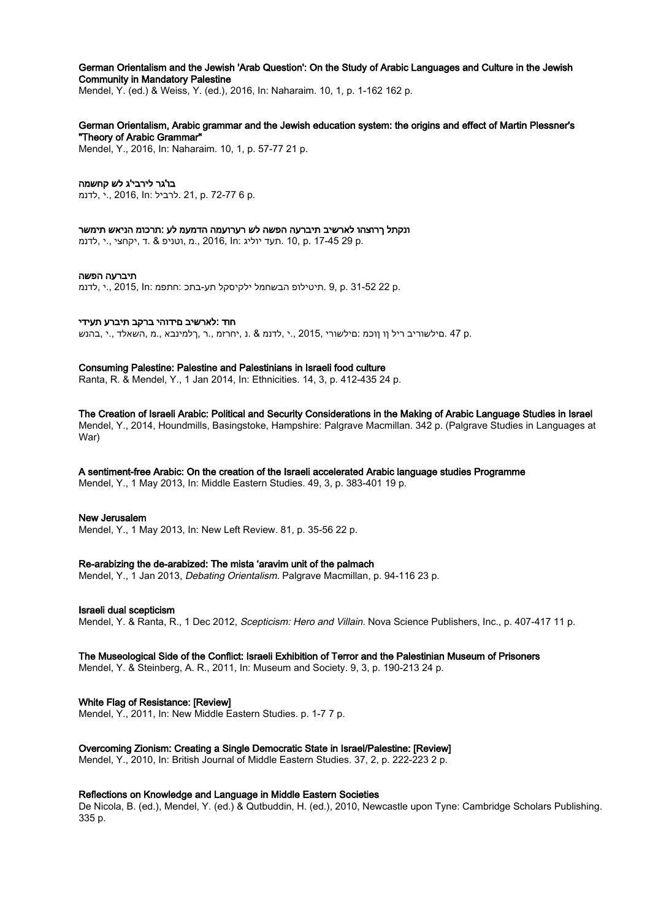### German Orientalism and the Jewish 'Arab Question': On the Study of Arabic Languages and Culture in the Jewish Community in Mandatory Palestine

Mendel, Y. (ed.) & Weiss, Y. (ed.), 2016, In: Naharaim. 10, 1, p. 1-162 162 p.

# German Orientalism, Arabic grammar and the Jewish education system: the origins and effect of Martin Plessner's "Theory of Arabic Grammar"

Mendel, Y., 2016, In: Naharaim. 10, 1, p. 57-77 21 p.

# בו'גר לירבי'ג לש קחשמה

.לדנמ., ., 2016, ln: לרביל 21, p. 72-77 6 p.

#### ונקתל ךרוצהו לארשיב תיברעה הפשה לש רערועמה הדמעמ לע :תרכומ הניאש תימשר

.n 10, p. 17-45 29 p. תעד יוליג :n 2016, ln וטניפ & .ד ,יקחצי..י

#### תיברעה הפשה

.p. 31-52 22 p. תיטילופ הבשחמל ילקיסקל תע-בתכ :חתפמ :2015, In .י ,לדנמ.

#### חוד :לארשיב םידוהי ברקב תיברע תעידי

.a 47 .םילשוריב ריל וו ווכמ :םילשורי ,2015 ..י ,לדנמ & .נ ,יחרזמ ..ר ,רלמינבא ..מ ,השאלד ..י ,בהנש.

#### Consuming Palestine: Palestine and Palestinians in Israeli food culture

Ranta, R. & Mendel, Y., 1 Jan 2014, In: Ethnicities. 14, 3, p. 412-435 24 p.

#### The Creation of Israeli Arabic: Political and Security Considerations in the Making of Arabic Language Studies in Israel Mendel, Y., 2014, Houndmills, Basingstoke, Hampshire: Palgrave Macmillan. 342 p. (Palgrave Studies in Languages at War)

# A sentiment-free Arabic: On the creation of the Israeli accelerated Arabic language studies Programme

Mendel, Y., 1 May 2013, In: Middle Eastern Studies. 49, 3, p. 383-401 19 p.

#### New Jerusalem

Mendel, Y., 1 May 2013, In: New Left Review. 81, p. 35-56 22 p.

# Re-arabizing the de-arabized: The mista 'aravim unit of the palmach

Mendel, Y., 1 Jan 2013, Debating Orientalism. Palgrave Macmillan, p. 94-116 23 p.

#### Israeli dual scepticism

Mendel, Y. & Ranta, R., 1 Dec 2012, Scepticism: Hero and Villain. Nova Science Publishers, Inc., p. 407-417 11 p.

# The Museological Side of the Conflict: Israeli Exhibition of Terror and the Palestinian Museum of Prisoners

Mendel, Y. & Steinberg, A. R., 2011, In: Museum and Society. 9, 3, p. 190-213 24 p.

# White Flag of Resistance: [Review]

Mendel, Y., 2011, In: New Middle Eastern Studies. p. 1-7 7 p.

# Overcoming Zionism: Creating a Single Democratic State in Israel/Palestine: [Review]

Mendel, Y., 2010, In: British Journal of Middle Eastern Studies. 37, 2, p. 222-223 2 p.

# Reflections on Knowledge and Language in Middle Eastern Societies

De Nicola, B. (ed.), Mendel, Y. (ed.) & Qutbuddin, H. (ed.), 2010, Newcastle upon Tyne: Cambridge Scholars Publishing. 335 p.